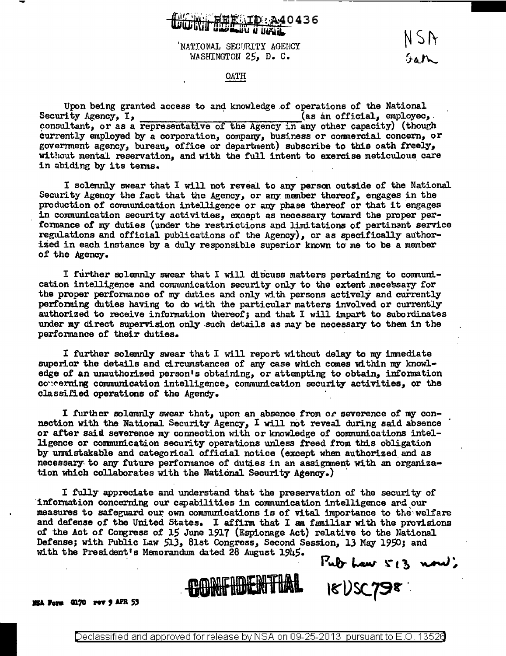## D: A40436

NATIONAL SECURITY AGENCY WASHINGTON 25, D. C.

NSA Sath

## OATH

Upon being granted access to and knowledge of operations of the National Security Agency, I, (as an official, employed, consultant, or as a representative of the Agency in any other capacity) (though currently employed by a corporation, company, business or commercial concern, or government agency, bureau, office or department) subscribe to this oath freely, without mental reservation, and with the full intent to exercise meticulous care in abiding by its terms.

I solemnly swear that I will not reveal to any person outside of the National Security Agency the fact that the Agency, or any member thereof, engages in the production of communication intelligence or any phase thereof or that it engages in communication security activities, except as necessary toward the proper performance of my duties (under the restrictions and limitations of pertinent service regulations and official publications of the Agency), or as specifically authorized in each instance by a duly responsible superior known to me to be a member of the Agency.

I further solemnly swear that I will discuss matters pertaining to communication intelligence and communication security only to the extent necessary for the proper performance of my duties and only with persons actively and currently performing duties having to do with the particular matters involved or currently authorized to receive information thereof; and that I will impart to subordinates under my direct supervision only such details as may be necessary to them in the performance of their duties.

I further solemnly swear that I will report without delay to my immediate superior the details and circumstances of any case which comes within my knowledge of an unauthorized person's obtaining, or attempting to obtain, information correrning communication intelligence, communication security activities, or the classified operations of the Agency.

I further solemnly swear that, upon an absence from or severence of my connection with the National Security Agency, I will not reveal during said absence or after said severence my connection with or knowledge of communications intelligence or communication security operations unless freed from this obligation by unmistakable and categorical official notice (except when authorized and as necessary to any future performance of duties in an assignment with an organization which collaborates with the National Security Agency.)

I fully appreciate and understand that the preservation of the security of information concerning our capabilities in communication intelligence and our measures to safeguard our own communications is of vital importance to the welfare and defense of the United States. I affirm that I am familiar with the provisions of the Act of Congress of 15 June 1917 (Espionage Act) relative to the National Defense; with Public Law 513, 81st Congress, Second Session, 13 May 1950; and with the President's Memorandum dated 28 August 1945. Pub Law  $5/3$  now);



MSA Form G170 rev 9 APR 53

18155798